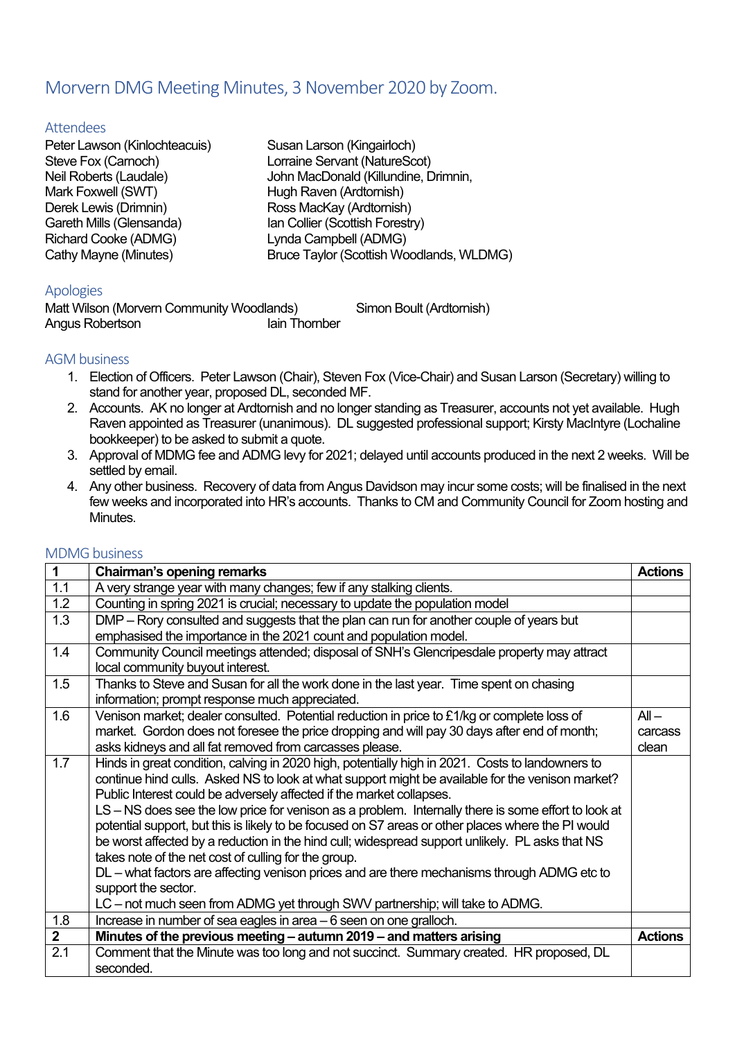# Morvern DMG Meeting Minutes, 3 November 2020 by Zoom.

### Attendees

| Peter Lawson (Kinlochteacuis) | Susan Larson (Kingairloch)               |
|-------------------------------|------------------------------------------|
| Steve Fox (Carnoch)           | Lorraine Servant (NatureScot)            |
| Neil Roberts (Laudale)        | John MacDonald (Killundine, Drimnin,     |
| Mark Foxwell (SWT)            | Hugh Raven (Ardtornish)                  |
| Derek Lewis (Drimnin)         | Ross MacKay (Ardtornish)                 |
| Gareth Mills (Glensanda)      | Ian Collier (Scottish Forestry)          |
| Richard Cooke (ADMG)          | Lynda Campbell (ADMG)                    |
| Cathy Mayne (Minutes)         | Bruce Taylor (Scottish Woodlands, WLDMG) |
|                               |                                          |

#### Apologies

| Matt Wilson (Morvern Community Woodlands) |               | Simon Boult (Ardtornish) |
|-------------------------------------------|---------------|--------------------------|
| Angus Robertson                           | lain Thornber |                          |

## AGM business

- 1. Election of Officers. Peter Lawson (Chair), Steven Fox (Vice-Chair) and Susan Larson (Secretary) willing to stand for another year, proposed DL, seconded MF.
- 2. Accounts. AK no longer at Ardtornish and no longer standing as Treasurer, accounts not yet available. Hugh Raven appointed as Treasurer (unanimous). DL suggested professional support; Kirsty MacIntyre (Lochaline bookkeeper) to be asked to submit a quote.
- 3. Approval of MDMG fee and ADMG levy for 2021; delayed until accounts produced in the next 2 weeks. Will be settled by email.
- 4. Any other business. Recovery of data from Angus Davidson may incur some costs; will be finalised in the next few weeks and incorporated into HR's accounts. Thanks to CM and Community Council for Zoom hosting and **Minutes**

| $\mathbf 1$    | Chairman's opening remarks                                                                          | <b>Actions</b> |
|----------------|-----------------------------------------------------------------------------------------------------|----------------|
| 1.1            | A very strange year with many changes; few if any stalking clients.                                 |                |
| 1.2            | Counting in spring 2021 is crucial; necessary to update the population model                        |                |
| 1.3            | DMP – Rory consulted and suggests that the plan can run for another couple of years but             |                |
|                | emphasised the importance in the 2021 count and population model.                                   |                |
| 1.4            | Community Council meetings attended; disposal of SNH's Glencripesdale property may attract          |                |
|                | local community buyout interest.                                                                    |                |
| 1.5            | Thanks to Steve and Susan for all the work done in the last year. Time spent on chasing             |                |
|                | information; prompt response much appreciated.                                                      |                |
| 1.6            | Venison market; dealer consulted. Potential reduction in price to £1/kg or complete loss of         | $All -$        |
|                | market. Gordon does not foresee the price dropping and will pay 30 days after end of month;         | carcass        |
|                | asks kidneys and all fat removed from carcasses please.                                             | clean          |
| 1.7            | Hinds in great condition, calving in 2020 high, potentially high in 2021. Costs to landowners to    |                |
|                | continue hind culls. Asked NS to look at what support might be available for the venison market?    |                |
|                | Public Interest could be adversely affected if the market collapses.                                |                |
|                | LS - NS does see the low price for venison as a problem. Internally there is some effort to look at |                |
|                | potential support, but this is likely to be focused on S7 areas or other places where the PI would  |                |
|                | be worst affected by a reduction in the hind cull; widespread support unlikely. PL asks that NS     |                |
|                | takes note of the net cost of culling for the group.                                                |                |
|                | DL - what factors are affecting venison prices and are there mechanisms through ADMG etc to         |                |
|                | support the sector.                                                                                 |                |
|                | LC – not much seen from ADMG yet through SWV partnership; will take to ADMG.                        |                |
| 1.8            | Increase in number of sea eagles in area - 6 seen on one gralloch.                                  |                |
| $\overline{2}$ | Minutes of the previous meeting - autumn 2019 - and matters arising                                 | <b>Actions</b> |
| 2.1            | Comment that the Minute was too long and not succinct. Summary created. HR proposed, DL             |                |
|                | seconded.                                                                                           |                |

#### MDMG business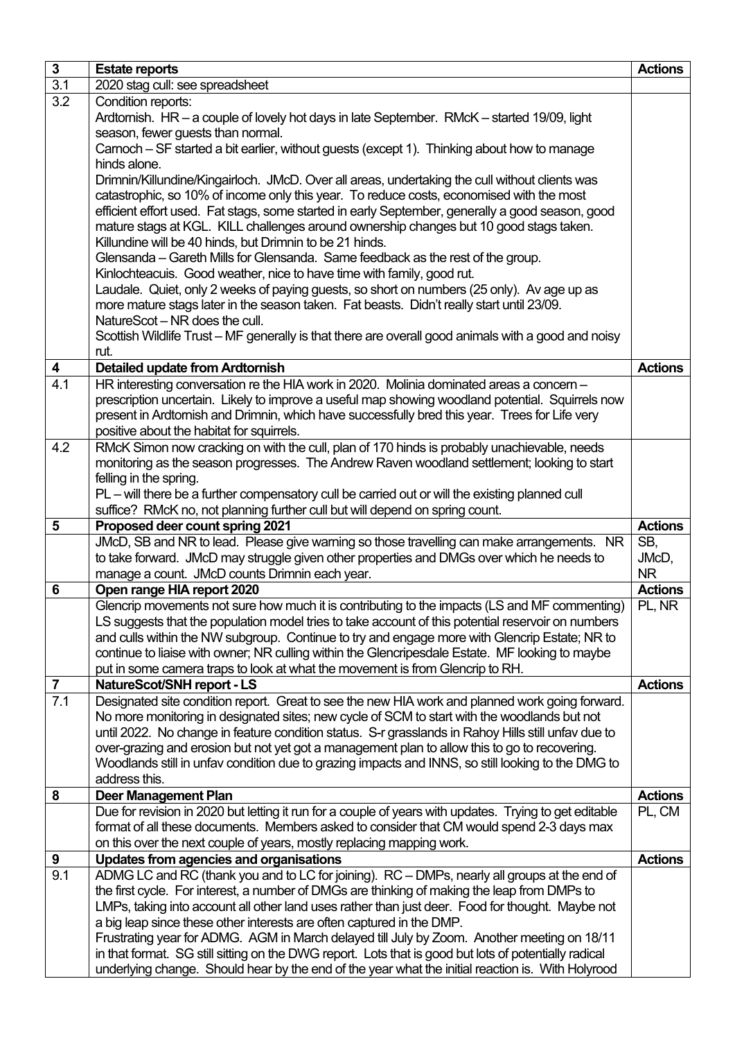| $\overline{3}$        | <b>Estate reports</b>                                                                                                                                                                                      | <b>Actions</b>              |
|-----------------------|------------------------------------------------------------------------------------------------------------------------------------------------------------------------------------------------------------|-----------------------------|
| 3.1                   | 2020 stag cull: see spreadsheet                                                                                                                                                                            |                             |
| 3.2                   | Condition reports:                                                                                                                                                                                         |                             |
|                       | Ardtornish. HR - a couple of lovely hot days in late September. RMcK - started 19/09, light                                                                                                                |                             |
|                       | season, fewer guests than normal.                                                                                                                                                                          |                             |
|                       | Carnoch – SF started a bit earlier, without guests (except 1). Thinking about how to manage                                                                                                                |                             |
|                       | hinds alone.                                                                                                                                                                                               |                             |
|                       | Drimnin/Killundine/Kingairloch. JMcD. Over all areas, undertaking the cull without clients was                                                                                                             |                             |
|                       | catastrophic, so 10% of income only this year. To reduce costs, economised with the most                                                                                                                   |                             |
|                       | efficient effort used. Fat stags, some started in early September, generally a good season, good                                                                                                           |                             |
|                       | mature stags at KGL. KILL challenges around ownership changes but 10 good stags taken.                                                                                                                     |                             |
|                       | Killundine will be 40 hinds, but Drimnin to be 21 hinds.                                                                                                                                                   |                             |
|                       | Glensanda – Gareth Mills for Glensanda. Same feedback as the rest of the group.                                                                                                                            |                             |
|                       | Kinlochteacuis. Good weather, nice to have time with family, good rut.                                                                                                                                     |                             |
|                       | Laudale. Quiet, only 2 weeks of paying guests, so short on numbers (25 only). Av age up as                                                                                                                 |                             |
|                       | more mature stags later in the season taken. Fat beasts. Didn't really start until 23/09.                                                                                                                  |                             |
|                       | NatureScot – NR does the cull.                                                                                                                                                                             |                             |
|                       | Scottish Wildlife Trust – MF generally is that there are overall good animals with a good and noisy                                                                                                        |                             |
|                       | rut.                                                                                                                                                                                                       |                             |
| 4<br>$\overline{4.1}$ | <b>Detailed update from Ardtornish</b>                                                                                                                                                                     | <b>Actions</b>              |
|                       | HR interesting conversation re the HIA work in 2020. Molinia dominated areas a concern -                                                                                                                   |                             |
|                       | prescription uncertain. Likely to improve a useful map showing woodland potential. Squirrels now                                                                                                           |                             |
|                       | present in Ardtornish and Drimnin, which have successfully bred this year. Trees for Life very                                                                                                             |                             |
| 4.2                   | positive about the habitat for squirrels.<br>RMcK Simon now cracking on with the cull, plan of 170 hinds is probably unachievable, needs                                                                   |                             |
|                       | monitoring as the season progresses. The Andrew Raven woodland settlement; looking to start                                                                                                                |                             |
|                       | felling in the spring.                                                                                                                                                                                     |                             |
|                       | PL – will there be a further compensatory cull be carried out or will the existing planned cull                                                                                                            |                             |
|                       | suffice? RMcK no, not planning further cull but will depend on spring count.                                                                                                                               |                             |
| 5                     | Proposed deer count spring 2021                                                                                                                                                                            | <b>Actions</b>              |
|                       | JMcD, SB and NR to lead. Please give warning so those travelling can make arrangements. NR                                                                                                                 | SB,                         |
|                       | to take forward. JMcD may struggle given other properties and DMGs over which he needs to                                                                                                                  | JMcD,                       |
|                       | manage a count. JMcD counts Drimnin each year.                                                                                                                                                             |                             |
|                       |                                                                                                                                                                                                            |                             |
|                       |                                                                                                                                                                                                            | <b>NR</b><br><b>Actions</b> |
| 6                     | Open range HIA report 2020                                                                                                                                                                                 |                             |
|                       | Glencrip movements not sure how much it is contributing to the impacts (LS and MF commenting)                                                                                                              | PL, NR                      |
|                       | LS suggests that the population model tries to take account of this potential reservoir on numbers                                                                                                         |                             |
|                       | and culls within the NW subgroup. Continue to try and engage more with Glencrip Estate; NR to<br>continue to liaise with owner; NR culling within the Glencripesdale Estate. MF looking to maybe           |                             |
|                       | put in some camera traps to look at what the movement is from Glencrip to RH.                                                                                                                              |                             |
| 7                     | <b>NatureScot/SNH report - LS</b>                                                                                                                                                                          | <b>Actions</b>              |
| 7.1                   | Designated site condition report. Great to see the new HIA work and planned work going forward.                                                                                                            |                             |
|                       | No more monitoring in designated sites; new cycle of SCM to start with the woodlands but not                                                                                                               |                             |
|                       | until 2022. No change in feature condition status. S-r grasslands in Rahoy Hills still unfav due to                                                                                                        |                             |
|                       | over-grazing and erosion but not yet got a management plan to allow this to go to recovering.                                                                                                              |                             |
|                       | Woodlands still in unfav condition due to grazing impacts and INNS, so still looking to the DMG to                                                                                                         |                             |
|                       | address this.                                                                                                                                                                                              |                             |
| 8                     | <b>Deer Management Plan</b>                                                                                                                                                                                | <b>Actions</b>              |
|                       | Due for revision in 2020 but letting it run for a couple of years with updates. Trying to get editable                                                                                                     | PL, CM                      |
|                       | format of all these documents. Members asked to consider that CM would spend 2-3 days max                                                                                                                  |                             |
|                       | on this over the next couple of years, mostly replacing mapping work.                                                                                                                                      |                             |
| 9                     | Updates from agencies and organisations                                                                                                                                                                    | <b>Actions</b>              |
| $\overline{9.1}$      | ADMG LC and RC (thank you and to LC for joining). RC - DMPs, nearly all groups at the end of                                                                                                               |                             |
|                       | the first cycle. For interest, a number of DMGs are thinking of making the leap from DMPs to                                                                                                               |                             |
|                       | LMPs, taking into account all other land uses rather than just deer. Food for thought. Maybe not                                                                                                           |                             |
|                       | a big leap since these other interests are often captured in the DMP.                                                                                                                                      |                             |
|                       | Frustrating year for ADMG. AGM in March delayed till July by Zoom. Another meeting on 18/11                                                                                                                |                             |
|                       | in that format. SG still sitting on the DWG report. Lots that is good but lots of potentially radical<br>underlying change. Should hear by the end of the year what the initial reaction is. With Holyrood |                             |